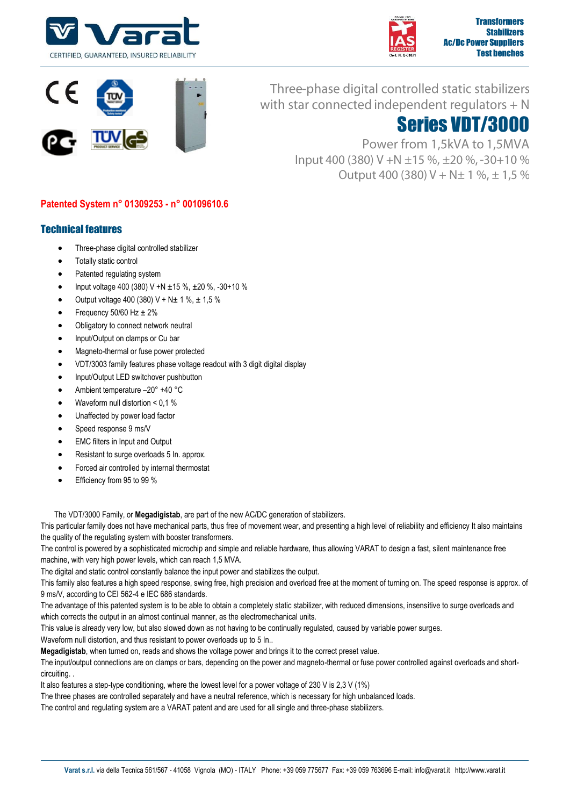





Three-phase digital controlled static stabilizers with star connected independent regulators  $+ N$ 

## Series VDT/3000

Power from 1,5kVA to 1,5MVA lnput 400 (380) V +N ±15 %, ±20 %, -30+10 % Output 400 (380)  $V + N \pm 1 \%$ ,  $\pm 1.5 \%$ 

## **Patented System n° 01309253 - n° 00109610.6**

## Technical features

- Three-phase digital controlled stabilizer
- Totally static control
- Patented regulating system
- Input voltage 400 (380) V +N ±15 %, ±20 %, -30+10 %
- Output voltage 400 (380) V + N± 1 %, ± 1,5 %
- Frequency  $50/60$  Hz  $\pm 2\%$
- Obligatory to connect network neutral
- Input/Output on clamps or Cu bar
- Magneto-thermal or fuse power protected
- VDT/3003 family features phase voltage readout with 3 digit digital display
- Input/Output LED switchover pushbutton
- Ambient temperature –20° +40 °C
- Waveform null distortion < 0,1 %
- Unaffected by power load factor
- Speed response 9 ms/V
- EMC filters in Input and Output
- Resistant to surge overloads 5 In. approx.
- Forced air controlled by internal thermostat
- Efficiency from 95 to 99 %

The VDT/3000 Family, or **Megadigistab**, are part of the new AC/DC generation of stabilizers.

This particular family does not have mechanical parts, thus free of movement wear, and presenting a high level of reliability and efficiency It also maintains the quality of the regulating system with booster transformers.

The control is powered by a sophisticated microchip and simple and reliable hardware, thus allowing VARAT to design a fast, silent maintenance free machine, with very high power levels, which can reach 1,5 MVA.

The digital and static control constantly balance the input power and stabilizes the output.

This family also features a high speed response, swing free, high precision and overload free at the moment of turning on. The speed response is approx. of 9 ms/V, according to CEI 562-4 e IEC 686 standards.

The advantage of this patented system is to be able to obtain a completely static stabilizer, with reduced dimensions, insensitive to surge overloads and which corrects the output in an almost continual manner, as the electromechanical units.

This value is already very low, but also slowed down as not having to be continually regulated, caused by variable power surges.

Waveform null distortion, and thus resistant to power overloads up to 5 In..

**Megadigistab**, when turned on, reads and shows the voltage power and brings it to the correct preset value.

The input/output connections are on clamps or bars, depending on the power and magneto-thermal or fuse power controlled against overloads and shortcircuiting. .

It also features a step-type conditioning, where the lowest level for a power voltage of 230 V is 2,3 V (1%)

The three phases are controlled separately and have a neutral reference, which is necessary for high unbalanced loads.

The control and regulating system are a VARAT patent and are used for all single and three-phase stabilizers.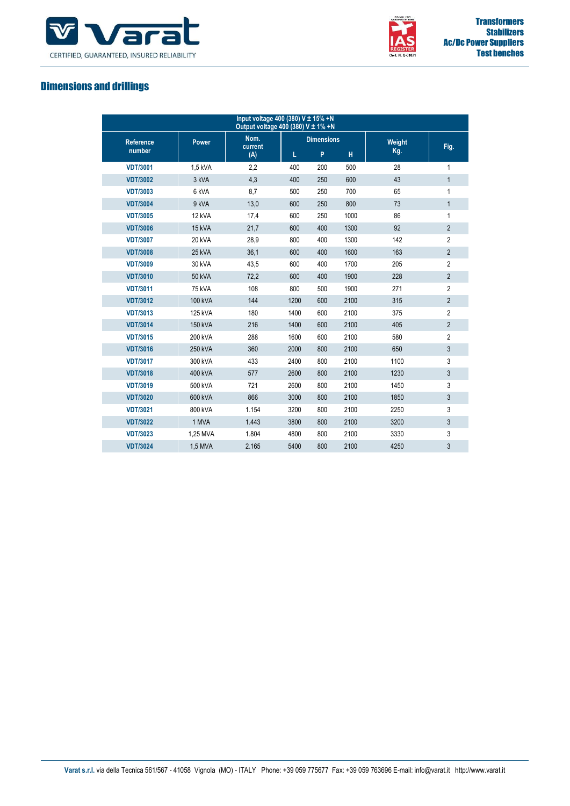



## Dimensions and drillings

| Input voltage 400 (380) V ± 15% +N<br>Output voltage 400 (380) V ± 1% +N |                |                        |                   |     |      |        |                |  |
|--------------------------------------------------------------------------|----------------|------------------------|-------------------|-----|------|--------|----------------|--|
| <b>Reference</b>                                                         | <b>Power</b>   | Nom.<br>current<br>(A) | <b>Dimensions</b> |     |      | Weight |                |  |
| number                                                                   |                |                        | L                 | P   | H    | Kg.    | Fig.           |  |
| <b>VDT/3001</b>                                                          | 1,5 kVA        | 2,2                    | 400               | 200 | 500  | 28     | 1              |  |
| <b>VDT/3002</b>                                                          | 3 kVA          | 4,3                    | 400               | 250 | 600  | 43     | $\mathbf{1}$   |  |
| <b>VDT/3003</b>                                                          | 6 kVA          | 8,7                    | 500               | 250 | 700  | 65     | 1              |  |
| <b>VDT/3004</b>                                                          | 9 kVA          | 13,0                   | 600               | 250 | 800  | 73     | $\mathbf{1}$   |  |
| <b>VDT/3005</b>                                                          | 12 kVA         | 17,4                   | 600               | 250 | 1000 | 86     | 1              |  |
| <b>VDT/3006</b>                                                          | 15 kVA         | 21,7                   | 600               | 400 | 1300 | 92     | $\overline{2}$ |  |
| <b>VDT/3007</b>                                                          | <b>20 kVA</b>  | 28,9                   | 800               | 400 | 1300 | 142    | $\overline{2}$ |  |
| <b>VDT/3008</b>                                                          | 25 kVA         | 36,1                   | 600               | 400 | 1600 | 163    | $\overline{2}$ |  |
| <b>VDT/3009</b>                                                          | 30 kVA         | 43,5                   | 600               | 400 | 1700 | 205    | $\overline{2}$ |  |
| <b>VDT/3010</b>                                                          | <b>50 kVA</b>  | 72,2                   | 600               | 400 | 1900 | 228    | $\overline{2}$ |  |
| <b>VDT/3011</b>                                                          | <b>75 kVA</b>  | 108                    | 800               | 500 | 1900 | 271    | $\overline{2}$ |  |
| <b>VDT/3012</b>                                                          | <b>100 kVA</b> | 144                    | 1200              | 600 | 2100 | 315    | $\overline{2}$ |  |
| <b>VDT/3013</b>                                                          | 125 kVA        | 180                    | 1400              | 600 | 2100 | 375    | $\overline{2}$ |  |
| <b>VDT/3014</b>                                                          | 150 kVA        | 216                    | 1400              | 600 | 2100 | 405    | $\overline{2}$ |  |
| <b>VDT/3015</b>                                                          | 200 kVA        | 288                    | 1600              | 600 | 2100 | 580    | $\overline{2}$ |  |
| <b>VDT/3016</b>                                                          | 250 kVA        | 360                    | 2000              | 800 | 2100 | 650    | $\mathbf{3}$   |  |
| <b>VDT/3017</b>                                                          | 300 kVA        | 433                    | 2400              | 800 | 2100 | 1100   | 3              |  |
| <b>VDT/3018</b>                                                          | 400 kVA        | 577                    | 2600              | 800 | 2100 | 1230   | $\mathbf{3}$   |  |
| <b>VDT/3019</b>                                                          | 500 kVA        | 721                    | 2600              | 800 | 2100 | 1450   | 3              |  |
| <b>VDT/3020</b>                                                          | 600 kVA        | 866                    | 3000              | 800 | 2100 | 1850   | 3              |  |
| <b>VDT/3021</b>                                                          | 800 kVA        | 1.154                  | 3200              | 800 | 2100 | 2250   | 3              |  |
| <b>VDT/3022</b>                                                          | 1 MVA          | 1.443                  | 3800              | 800 | 2100 | 3200   | 3              |  |
| <b>VDT/3023</b>                                                          | 1,25 MVA       | 1.804                  | 4800              | 800 | 2100 | 3330   | 3              |  |
| <b>VDT/3024</b>                                                          | 1,5 MVA        | 2.165                  | 5400              | 800 | 2100 | 4250   | 3              |  |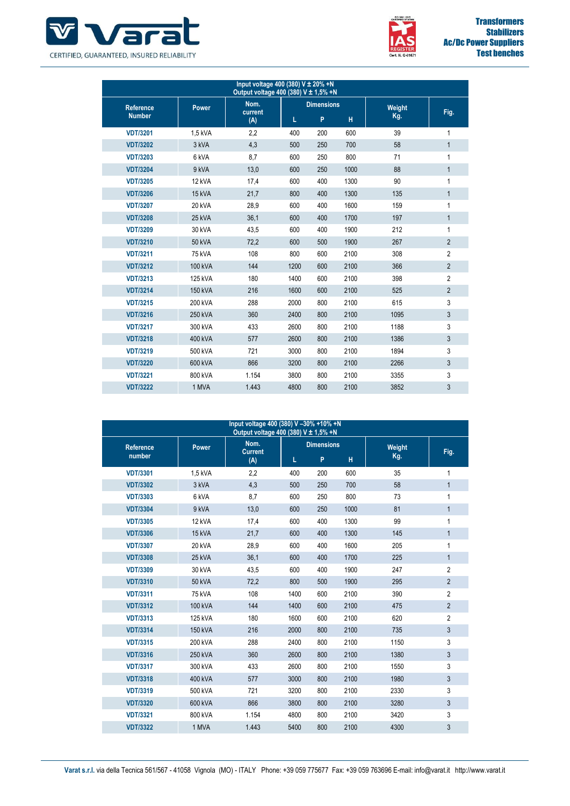



| Input voltage 400 (380) V ± 20% +N<br>Output voltage 400 (380) V ± 1,5% +N |               |                        |                   |     |      |        |                |  |
|----------------------------------------------------------------------------|---------------|------------------------|-------------------|-----|------|--------|----------------|--|
| <b>Reference</b><br><b>Number</b>                                          | <b>Power</b>  | Nom.<br>current<br>(A) | <b>Dimensions</b> |     |      | Weight |                |  |
|                                                                            |               |                        | L                 | P   | н    | Kg.    | Fig.           |  |
| <b>VDT/3201</b>                                                            | 1,5 kVA       | 2,2                    | 400               | 200 | 600  | 39     | 1              |  |
| <b>VDT/3202</b>                                                            | 3 kVA         | 4,3                    | 500               | 250 | 700  | 58     | $\mathbf{1}$   |  |
| <b>VDT/3203</b>                                                            | 6 kVA         | 8,7                    | 600               | 250 | 800  | 71     | 1              |  |
| <b>VDT/3204</b>                                                            | 9 kVA         | 13,0                   | 600               | 250 | 1000 | 88     | $\mathbf{1}$   |  |
| <b>VDT/3205</b>                                                            | 12 kVA        | 17,4                   | 600               | 400 | 1300 | 90     | 1              |  |
| <b>VDT/3206</b>                                                            | 15 kVA        | 21,7                   | 800               | 400 | 1300 | 135    | $\mathbf{1}$   |  |
| <b>VDT/3207</b>                                                            | <b>20 kVA</b> | 28,9                   | 600               | 400 | 1600 | 159    | 1              |  |
| <b>VDT/3208</b>                                                            | <b>25 kVA</b> | 36,1                   | 600               | 400 | 1700 | 197    | $\mathbf{1}$   |  |
| <b>VDT/3209</b>                                                            | 30 kVA        | 43,5                   | 600               | 400 | 1900 | 212    | 1              |  |
| <b>VDT/3210</b>                                                            | <b>50 kVA</b> | 72,2                   | 600               | 500 | 1900 | 267    | $\overline{2}$ |  |
| <b>VDT/3211</b>                                                            | 75 kVA        | 108                    | 800               | 600 | 2100 | 308    | $\overline{2}$ |  |
| <b>VDT/3212</b>                                                            | 100 kVA       | 144                    | 1200              | 600 | 2100 | 366    | $\overline{2}$ |  |
| <b>VDT/3213</b>                                                            | 125 kVA       | 180                    | 1400              | 600 | 2100 | 398    | $\overline{2}$ |  |
| <b>VDT/3214</b>                                                            | 150 kVA       | 216                    | 1600              | 600 | 2100 | 525    | $\overline{2}$ |  |
| <b>VDT/3215</b>                                                            | 200 kVA       | 288                    | 2000              | 800 | 2100 | 615    | 3              |  |
| <b>VDT/3216</b>                                                            | 250 kVA       | 360                    | 2400              | 800 | 2100 | 1095   | $\mathbf{3}$   |  |
| <b>VDT/3217</b>                                                            | 300 kVA       | 433                    | 2600              | 800 | 2100 | 1188   | 3              |  |
| <b>VDT/3218</b>                                                            | 400 kVA       | 577                    | 2600              | 800 | 2100 | 1386   | $\mathbf{3}$   |  |
| <b>VDT/3219</b>                                                            | 500 kVA       | 721                    | 3000              | 800 | 2100 | 1894   | 3              |  |
| <b>VDT/3220</b>                                                            | 600 kVA       | 866                    | 3200              | 800 | 2100 | 2266   | $\mathbf{3}$   |  |
| <b>VDT/3221</b>                                                            | 800 kVA       | 1.154                  | 3800              | 800 | 2100 | 3355   | 3              |  |
| <b>VDT/3222</b>                                                            | 1 MVA         | 1.443                  | 4800              | 800 | 2100 | 3852   | 3              |  |

| Input voltage 400 (380) V -30% +10% +N<br>Output voltage 400 (380) V ± 1,5% +N |               |                               |                   |     |      |        |                |  |
|--------------------------------------------------------------------------------|---------------|-------------------------------|-------------------|-----|------|--------|----------------|--|
| <b>Reference</b><br>number                                                     | Power         | Nom.<br><b>Current</b><br>(A) | <b>Dimensions</b> |     |      | Weight |                |  |
|                                                                                |               |                               | L                 | P   | H    | Kg.    | Fig.           |  |
| <b>VDT/3301</b>                                                                | 1.5 kVA       | 2,2                           | 400               | 200 | 600  | 35     | 1              |  |
| <b>VDT/3302</b>                                                                | 3 kVA         | 4,3                           | 500               | 250 | 700  | 58     | $\mathbf{1}$   |  |
| <b>VDT/3303</b>                                                                | 6 kVA         | 8,7                           | 600               | 250 | 800  | 73     | 1              |  |
| <b>VDT/3304</b>                                                                | 9 kVA         | 13,0                          | 600               | 250 | 1000 | 81     | $\mathbf{1}$   |  |
| <b>VDT/3305</b>                                                                | 12 kVA        | 17,4                          | 600               | 400 | 1300 | 99     | 1              |  |
| <b>VDT/3306</b>                                                                | 15 kVA        | 21,7                          | 600               | 400 | 1300 | 145    | $\mathbf{1}$   |  |
| <b>VDT/3307</b>                                                                | 20 kVA        | 28,9                          | 600               | 400 | 1600 | 205    | 1              |  |
| <b>VDT/3308</b>                                                                | 25 kVA        | 36,1                          | 600               | 400 | 1700 | 225    | $\mathbf{1}$   |  |
| <b>VDT/3309</b>                                                                | 30 kVA        | 43,5                          | 600               | 400 | 1900 | 247    | $\overline{2}$ |  |
| <b>VDT/3310</b>                                                                | <b>50 kVA</b> | 72,2                          | 800               | 500 | 1900 | 295    | $\overline{2}$ |  |
| <b>VDT/3311</b>                                                                | <b>75 kVA</b> | 108                           | 1400              | 600 | 2100 | 390    | $\overline{2}$ |  |
| <b>VDT/3312</b>                                                                | 100 kVA       | 144                           | 1400              | 600 | 2100 | 475    | $\overline{2}$ |  |
| <b>VDT/3313</b>                                                                | 125 kVA       | 180                           | 1600              | 600 | 2100 | 620    | $\overline{2}$ |  |
| <b>VDT/3314</b>                                                                | 150 kVA       | 216                           | 2000              | 800 | 2100 | 735    | $\mathfrak{Z}$ |  |
| <b>VDT/3315</b>                                                                | 200 kVA       | 288                           | 2400              | 800 | 2100 | 1150   | 3              |  |
| <b>VDT/3316</b>                                                                | 250 kVA       | 360                           | 2600              | 800 | 2100 | 1380   | $\mathbf{3}$   |  |
| <b>VDT/3317</b>                                                                | 300 kVA       | 433                           | 2600              | 800 | 2100 | 1550   | 3              |  |
| <b>VDT/3318</b>                                                                | 400 kVA       | 577                           | 3000              | 800 | 2100 | 1980   | $\mathbf{3}$   |  |
| <b>VDT/3319</b>                                                                | 500 kVA       | 721                           | 3200              | 800 | 2100 | 2330   | 3              |  |
| <b>VDT/3320</b>                                                                | 600 kVA       | 866                           | 3800              | 800 | 2100 | 3280   | $\mathbf{3}$   |  |
| <b>VDT/3321</b>                                                                | 800 kVA       | 1.154                         | 4800              | 800 | 2100 | 3420   | 3              |  |
| <b>VDT/3322</b>                                                                | 1 MVA         | 1.443                         | 5400              | 800 | 2100 | 4300   | 3              |  |